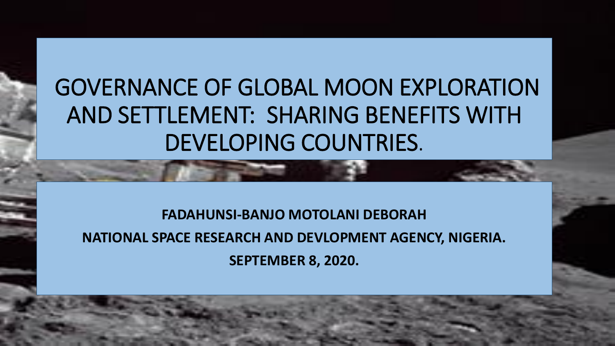# GOVERNANCE OF GLOBAL MOON EXPLORATION AND SETTLEMENT: SHARING BENEFITS WITH DEVELOPING COUNTRIES.

**FADAHUNSI-BANJO MOTOLANI DEBORAH NATIONAL SPACE RESEARCH AND DEVLOPMENT AGENCY, NIGERIA. SEPTEMBER 8, 2020.**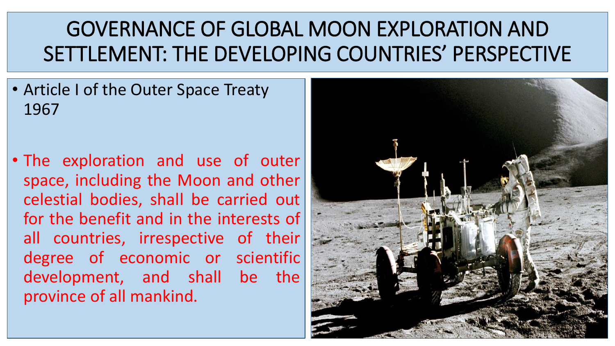#### GOVERNANCE OF GLOBAL MOON EXPLORATION AND SETTLEMENT: THE DEVELOPING COUNTRIES' PERSPECTIVE

• Article I of the Outer Space Treaty 1967

• The exploration and use of outer space, including the Moon and other celestial bodies, shall be carried out for the benefit and in the interests of all countries, irrespective of their degree of economic or scientific development, and shall be the province of all mankind.

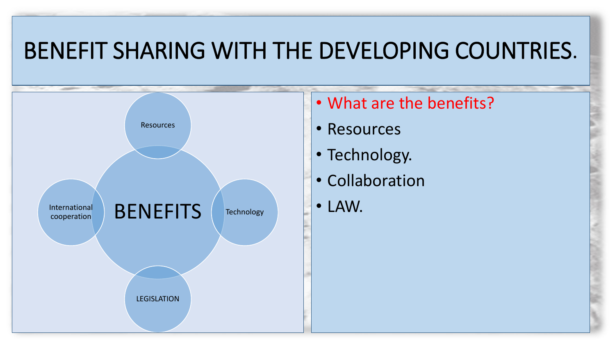### BENEFIT SHARING WITH THE DEVELOPING COUNTRIES.



- What are the benefits?
- Resources
- Technology.
- Collaboration
- LAW.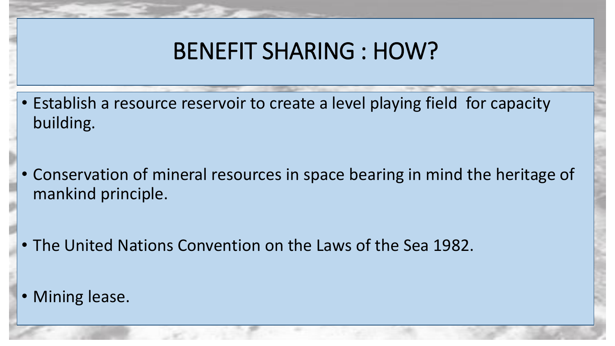### BENEFIT SHARING : HOW?

- Establish a resource reservoir to create a level playing field for capacity building.
- Conservation of mineral resources in space bearing in mind the heritage of mankind principle.
- The United Nations Convention on the Laws of the Sea 1982.
- Mining lease.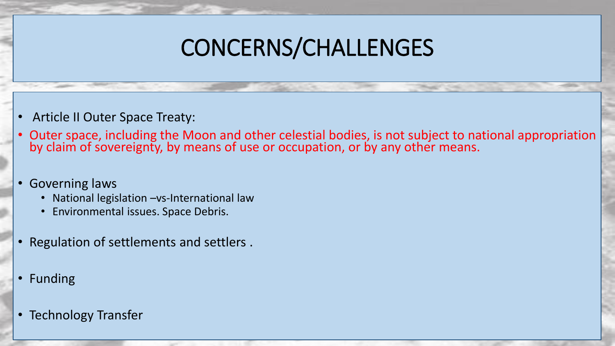# CONCERNS/CHALLENGES

- Article II Outer Space Treaty:
- Outer space, including the Moon and other celestial bodies, is not subject to national appropriation by claim of sovereignty, by means of use or occupation, or by any other means.
- Governing laws
	- National legislation vs-International law
	- Environmental issues. Space Debris.
- Regulation of settlements and settlers .
- Funding
- Technology Transfer